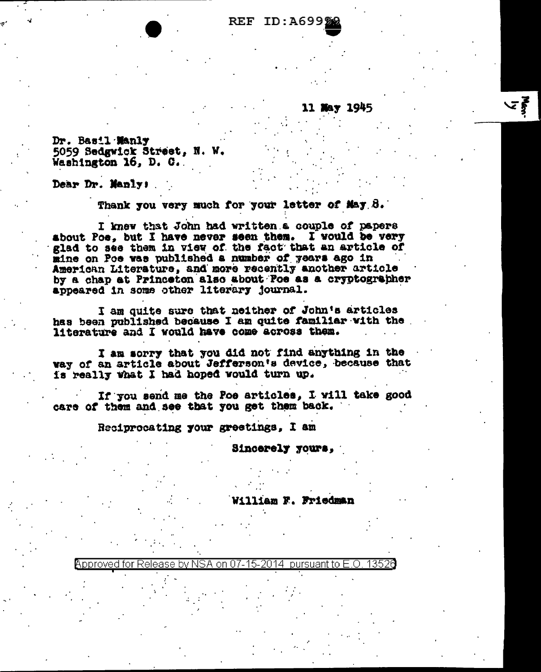## REF ID:A699

**11 May 1945** 

とき

Dr. Basil Manly 5059 Sedgwick Street, N. W. Washington 16, D. C.

Dear Dr. Manly;

Thank you very much for your letter of May 8.

I knew that John had written a couple of papers about Poe, but I have never seen them. I would be very glad to see them in view of the fact that an article of mine on Poe was published a number of years ago in American Literature, and more recently another article by a chap at Princeton also about Poe as a cryptographer appeared in some other literary journal.

I am quite sure that neither of John's articles has been published because I am quite familiar with the literature and I would have come across them.

I am sorry that you did not find anything in the way of an article about Jefferson's device, because that is really what I had hoped would turn up.

If you send me the Poe articles, I will take good care of them and see that you get them back.

Reciprocating your greetings, I am

Sincerely yours,

liam F. Friedman

pproved for Release bv . 1352G nn. pursuant to E.O..